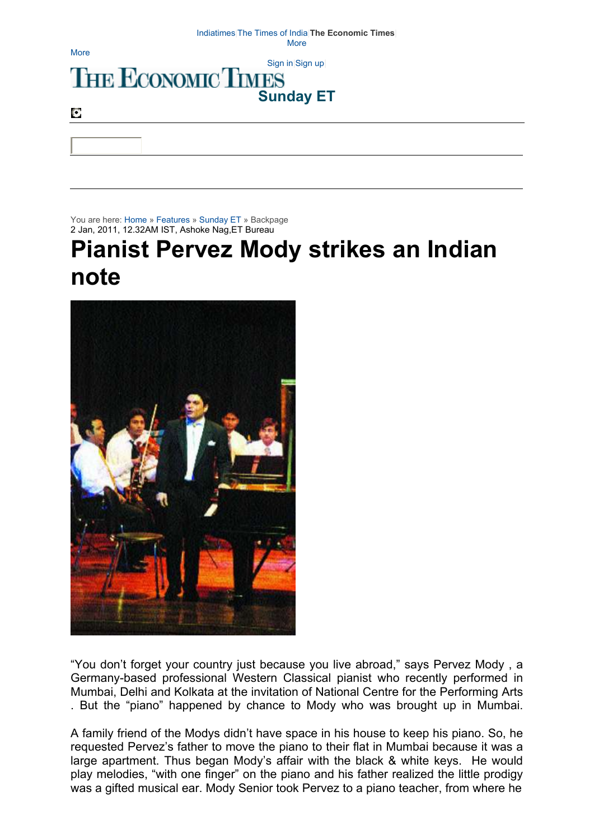## Indiatimes|The Times of India|**The Economic Times**| More

**More** 

## Sign in Sign in Sign up **Sunday ET**

O

You are here: Home » Features » Sunday ET » Backpage 2 Jan, 2011, 12.32AM IST, Ashoke Nag,ET Bureau

## **Pianist Pervez Mody strikes an Indian note**



"You don't forget your country just because you live abroad," says Pervez Mody , a Germany-based professional Western Classical pianist who recently performed in Mumbai, Delhi and Kolkata at the invitation of National Centre for the Performing Arts . But the "piano" happened by chance to Mody who was brought up in Mumbai.

A family friend of the Modys didn't have space in his house to keep his piano. So, he requested Pervez's father to move the piano to their flat in Mumbai because it was a large apartment. Thus began Mody's affair with the black & white keys. He would play melodies, "with one finger" on the piano and his father realized the little prodigy was a gifted musical ear. Mody Senior took Pervez to a piano teacher, from where he